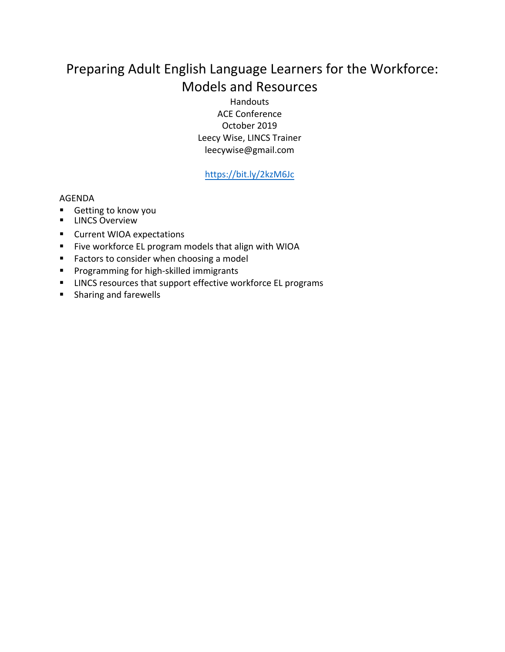# Preparing Adult English Language Learners for the Workforce: Models and Resources

Handouts ACE Conference October 2019 Leecy Wise, LINCS Trainer leecywise@gmail.com

https://bit.ly/2kzM6Jc

#### AGENDA

- Getting to know you
- **E** LINCS Overview
- Current WIOA expectations
- § Five workforce EL program models that align with WIOA
- Factors to consider when choosing a model
- Programming for high-skilled immigrants
- LINCS resources that support effective workforce EL programs
- Sharing and farewells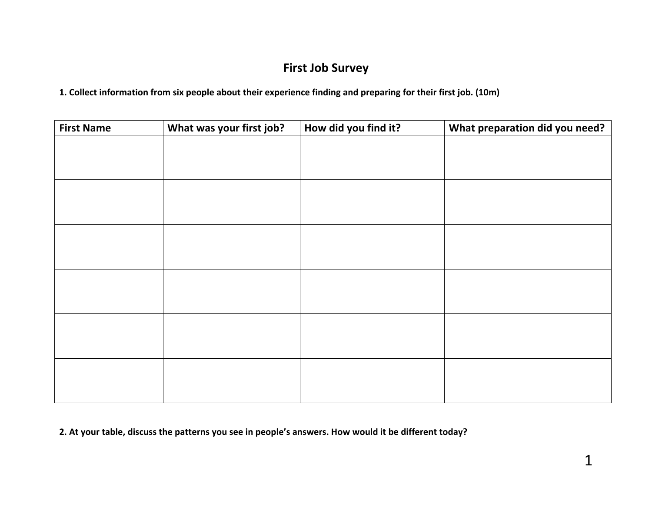# **First Job Survey**

**1. Collect information from six people about their experience finding and preparing for their first job. (10m)**

| <b>First Name</b> | What was your first job? | How did you find it? | What preparation did you need? |  |  |
|-------------------|--------------------------|----------------------|--------------------------------|--|--|
|                   |                          |                      |                                |  |  |
|                   |                          |                      |                                |  |  |
|                   |                          |                      |                                |  |  |
|                   |                          |                      |                                |  |  |
|                   |                          |                      |                                |  |  |
|                   |                          |                      |                                |  |  |
|                   |                          |                      |                                |  |  |
|                   |                          |                      |                                |  |  |
|                   |                          |                      |                                |  |  |
|                   |                          |                      |                                |  |  |
|                   |                          |                      |                                |  |  |
|                   |                          |                      |                                |  |  |
|                   |                          |                      |                                |  |  |
|                   |                          |                      |                                |  |  |
|                   |                          |                      |                                |  |  |
|                   |                          |                      |                                |  |  |
|                   |                          |                      |                                |  |  |
|                   |                          |                      |                                |  |  |

**2. At your table, discuss the patterns you see in people's answers. How would it be different today?**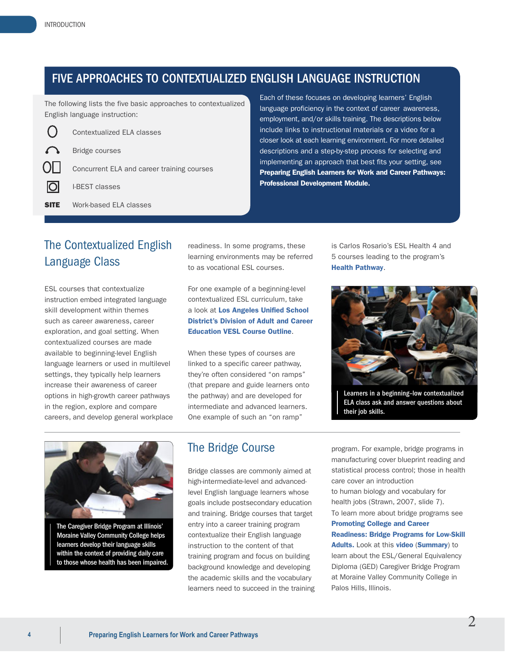**SITE** 

## FIVE APPROACHES TO CONTEXTUALIZED ENGLISH LANGUAGE INSTRUCTION

courses

The following lists the five basic approaches to contextualized English language instruction:

|    | Contextualized ELA classes              |  |  |  |  |
|----|-----------------------------------------|--|--|--|--|
|    | <b>Contract Security</b> Bridge courses |  |  |  |  |
| JЦ | Concurrent ELA and career training      |  |  |  |  |
|    | <b>O</b> I-BEST classes                 |  |  |  |  |
|    |                                         |  |  |  |  |

Work-based ELA classes

 [Preparing English Learners for Work and Career Pathways:](https://lincs.ed.gov/programs/eslpro) Each of these focuses on developing learners' English language proficiency in the context of career awareness, employment, and/or skills training. The descriptions below include links to instructional materials or a video for a closer look at each learning environment. For more detailed descriptions and a step-by-step process for selecting and implementing an approach that best fits your setting, see [Professional Development Module.](https://lincs.ed.gov/programs/eslpro)

# The Contextualized English Language Class

ESL courses that contextualize instruction embed integrated language skill development within themes such as career awareness, career exploration, and goal setting. When contextualized courses are made available to beginning-level English language learners or used in multilevel settings, they typically help learners increase their awareness of career options in high-growth career pathways in the region, explore and compare careers, and develop general workplace readiness. In some programs, these learning environments may be referred to as vocational ESL courses.

For one example of a beginning-level contextualized ESL curriculum, take a look at [Los Angeles Unified School](http://adulted-lausd-ca.schoolloop.com/file/1320734569583/2926912586951997400.pdf) [District's Division of Adult and Career](http://adulted-lausd-ca.schoolloop.com/file/1320734569583/2926912586951997400.pdf)  [Education VESL Course Outline](http://adulted-lausd-ca.schoolloop.com/file/1320734569583/2926912586951997400.pdf).

When these types of courses are linked to a specific career pathway, they're often considered "on ramps" (that prepare and guide learners onto the pathway) and are developed for intermediate and advanced learners. One example of such an "on ramp"

is Carlos Rosario's ESL Health 4 and 5 courses leading to the program's [Health Pathway](http://www.carlosrosario.org/learning-english-context-health/).



Learners in a beginning–low contextualized ELA class ask and answer questions about their job skills.



The Caregiver Bridge Program at Illinois' Moraine Valley Community College helps learners develop their language skills within the context of providing daily care to those whose health has been impaired.

## The Bridge Course

Bridge classes are commonly aimed at high-intermediate-level and advancedlevel English language learners whose goals include postsecondary education and training. Bridge courses that target entry into a career training program contextualize their English language instruction to the content of that training program and focus on building background knowledge and developing the academic skills and the vocabulary learners need to succeed in the training

program. For example, bridge programs in manufacturing cover blueprint reading and statistical process control; those in health care cover an introduction to human biology and vocabulary for health jobs (Strawn, 2007, slide 7). To learn more about bridge programs see [Promoting College and Career](https://www2.ed.gov/about/offices/list/ovae/pi/cclo/brief-1-bridge-programs.pdf) [Readiness: Bridge Programs for Low-Skill](https://www2.ed.gov/about/offices/list/ovae/pi/cclo/brief-1-bridge-programs.pdf)  [Adults.](https://www2.ed.gov/about/offices/list/ovae/pi/cclo/brief-1-bridge-programs.pdf) Look at this [video](https://www.youtube.com/watch?v=AWyA9yuBnv8) (Summary) to learn about the ESL/General Equivalency Diploma (GED) Caregiver Bridge Program at Moraine Valley Community College in Palos Hills, Illinois.

2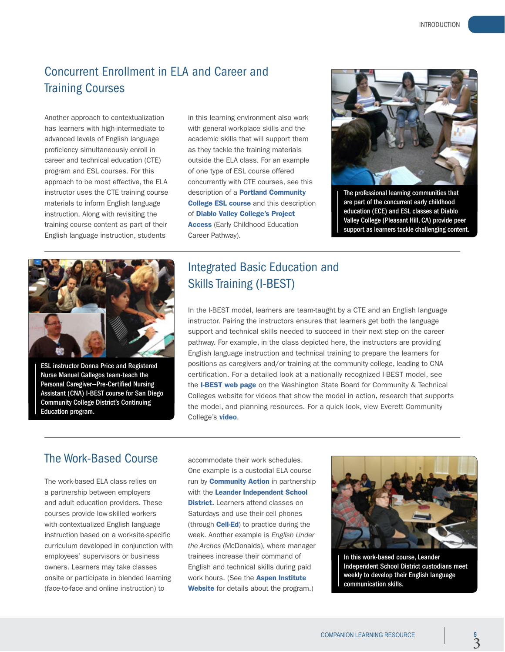# Concurrent Enrollment in ELA and Career and Training Courses

Another approach to contextualization has learners with high-intermediate to advanced levels of English language proficiency simultaneously enroll in career and technical education (CTE) program and ESL courses. For this approach to be most effective, the ELA instructor uses the CTE training course materials to inform English language instruction. Along with revisiting the training course content as part of their English language instruction, students

in this learning environment also work with general workplace skills and the academic skills that will support them as they tackle the training materials outside the ELA class. For an example of one type of ESL course offered concurrently with CTE courses, see this description of a **[Portland Community](http://www.pcc.edu/ccog/default.cfm?fa=ccog&subject=ESOL&course=59A)** [College ESL course](http://www.pcc.edu/ccog/default.cfm?fa=ccog&subject=ESOL&course=59A) and this description of [Diablo Valley College's Project](http://www.dvc.edu/future/careeracademies/projectaccess/certificate-program.html) **[Access](http://www.dvc.edu/future/careeracademies/projectaccess/certificate-program.html)** (Early Childhood Education Career Pathway).



The professional learning communities that are part of the concurrent early childhood education (ECE) and ESL classes at Diablo Valley College (Pleasant Hill, CA) provide peer support as learners tackle challenging content.



ESL instructor Donna Price and Registered Nurse Manuel Gallegos team-teach the Personal Caregiver—Pre-Certified Nursing Assistant (CNA) I-BEST course for San Diego Community College District's Continuing Education program.

# Integrated Basic Education and Skills Training (I-BEST)

In the I-BEST model, learners are team-taught by a CTE and an English language instructor. Pairing the instructors ensures that learners get both the language support and technical skills needed to succeed in their next step on the career pathway. For example, in the class depicted here, the instructors are providing English language instruction and technical training to prepare the learners for positions as caregivers and/or training at the community college, leading to CNA certification. For a detailed look at a nationally recognized I-BEST model, see the [I-BEST web page](http://www.sbctc.edu/colleges-staff/programs-services/i-best/default.aspx) on the Washington State Board for Community & Technical Colleges website for videos that show the model in action, research that supports the model, and planning resources. For a quick look, view Everett Community College's [video](http://www.everettcc.edu/programs/academic-resources/transitional-studies/ibest).

# The Work-Based Course

The work-based ELA class relies on a partnership between employers and adult education providers. These courses provide low-skilled workers with contextualized English language instruction based on a worksite-specific curriculum developed in conjunction with employees' supervisors or business owners. Learners may take classes onsite or participate in blended learning (face-to-face and online instruction) to

accommodate their work schedules. One example is a custodial ELA course run by **[Community Action](http://communityaction.com/our-services/adult-education/)** in partnership with the [Leander Independent School](http://www.leanderisd.org) **[District.](http://www.leanderisd.org)** Learners attend classes on Saturdays and use their cell phones (through **[Cell-Ed](http://www.celled.org/)**) to practice during the week. Another example is *English Under the Arches* (McDonalds), where manager trainees increase their command of English and technical skills during paid work hours. (See the **[Aspen Institute](http://www.aspeninstitute.org/policy-work/economic-opportunities/skills-americas-future/models-success/mcdonalds-english-under-arches)** [Website](http://www.aspeninstitute.org/policy-work/economic-opportunities/skills-americas-future/models-success/mcdonalds-english-under-arches) for details about the program.)



In this work-based course, Leander Independent School District custodians meet weekly to develop their English language communication skills.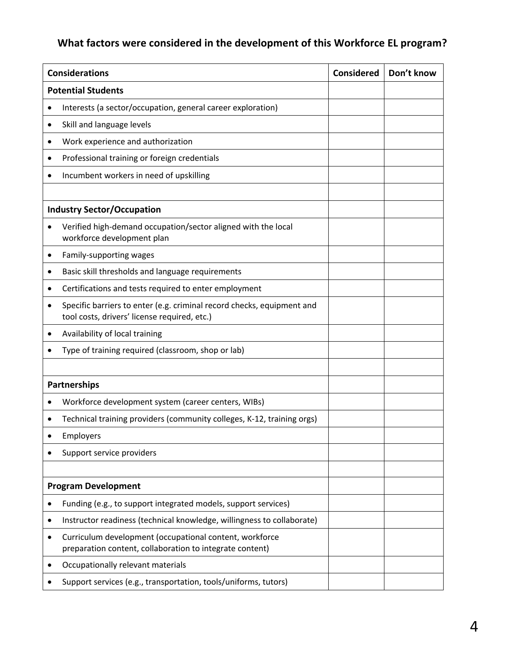# **What factors were considered in the development of this Workforce EL program?**

| <b>Considerations</b>             |                                                                                                                        | <b>Considered</b> | Don't know |  |  |  |
|-----------------------------------|------------------------------------------------------------------------------------------------------------------------|-------------------|------------|--|--|--|
|                                   | <b>Potential Students</b>                                                                                              |                   |            |  |  |  |
| $\bullet$                         | Interests (a sector/occupation, general career exploration)                                                            |                   |            |  |  |  |
| ٠                                 | Skill and language levels                                                                                              |                   |            |  |  |  |
|                                   | Work experience and authorization                                                                                      |                   |            |  |  |  |
| ٠                                 | Professional training or foreign credentials                                                                           |                   |            |  |  |  |
| ٠                                 | Incumbent workers in need of upskilling                                                                                |                   |            |  |  |  |
|                                   |                                                                                                                        |                   |            |  |  |  |
| <b>Industry Sector/Occupation</b> |                                                                                                                        |                   |            |  |  |  |
|                                   | Verified high-demand occupation/sector aligned with the local<br>workforce development plan                            |                   |            |  |  |  |
| ٠                                 | Family-supporting wages                                                                                                |                   |            |  |  |  |
| ٠                                 | Basic skill thresholds and language requirements                                                                       |                   |            |  |  |  |
| ٠                                 | Certifications and tests required to enter employment                                                                  |                   |            |  |  |  |
|                                   | Specific barriers to enter (e.g. criminal record checks, equipment and<br>tool costs, drivers' license required, etc.) |                   |            |  |  |  |
| ٠                                 | Availability of local training                                                                                         |                   |            |  |  |  |
|                                   | Type of training required (classroom, shop or lab)                                                                     |                   |            |  |  |  |
|                                   |                                                                                                                        |                   |            |  |  |  |
| <b>Partnerships</b>               |                                                                                                                        |                   |            |  |  |  |
|                                   | Workforce development system (career centers, WIBs)                                                                    |                   |            |  |  |  |
|                                   | Technical training providers (community colleges, K-12, training orgs)                                                 |                   |            |  |  |  |
|                                   | <b>Employers</b>                                                                                                       |                   |            |  |  |  |
|                                   | Support service providers                                                                                              |                   |            |  |  |  |
|                                   |                                                                                                                        |                   |            |  |  |  |
| <b>Program Development</b>        |                                                                                                                        |                   |            |  |  |  |
|                                   | Funding (e.g., to support integrated models, support services)                                                         |                   |            |  |  |  |
|                                   | Instructor readiness (technical knowledge, willingness to collaborate)                                                 |                   |            |  |  |  |
|                                   | Curriculum development (occupational content, workforce<br>preparation content, collaboration to integrate content)    |                   |            |  |  |  |
|                                   | Occupationally relevant materials                                                                                      |                   |            |  |  |  |
|                                   | Support services (e.g., transportation, tools/uniforms, tutors)                                                        |                   |            |  |  |  |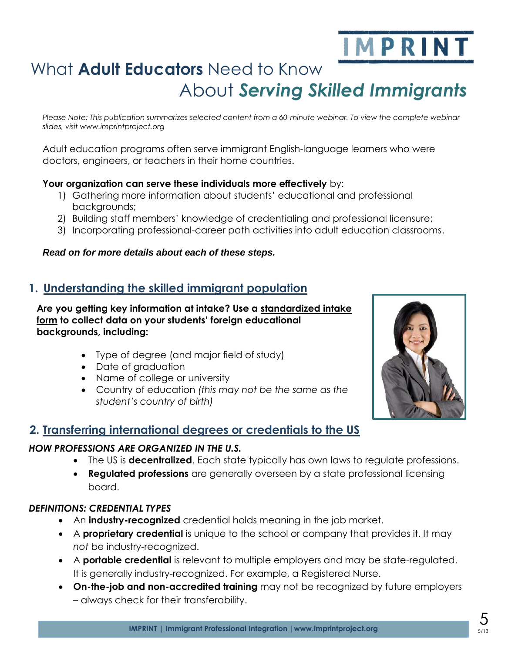# IMPRINT

# What **Adult Educators** Need to Know About *Serving Skilled Immigrants*

*Please Note: This publication summarizes selected content from a 60-minute webinar. To view the complete webinar slides, visit www.imprintproject.org* 

Adult education programs often serve immigrant English-language learners who were doctors, engineers, or teachers in their home countries.

#### **Your organization can serve these individuals more effectively** by:

- 1) Gathering more information about students' educational and professional backgrounds;
- 2) Building staff members' knowledge of credentialing and professional licensure;
- 3) Incorporating professional-career path activities into adult education classrooms.

#### *Read on for more details about each of these steps.*

# **1. Understanding the skilled immigrant population**

**Are you getting key information at intake? Use a standardized intake form to collect data on your students' foreign educational backgrounds, including:**

- Type of degree (and major field of study)
- Date of graduation
- Name of college or university
- Country of education *(this may not be the same as the student's country of birth)*



#### *HOW PROFESSIONS ARE ORGANIZED IN THE U.S.*

- The US is **decentralized**. Each state typically has own laws to regulate professions.
- **Regulated professions** are generally overseen by a state professional licensing board.

#### *DEFINITIONS: CREDENTIAL TYPES*

- An **industry-recognized** credential holds meaning in the job market.
- A **proprietary credential** is unique to the school or company that provides it. It may *not* be industry-recognized.
- A **portable credential** is relevant to multiple employers and may be state-regulated. It is generally industry-recognized. For example, a Registered Nurse.
- **On-the-job and non-accredited training** may not be recognized by future employers – always check for their transferability.



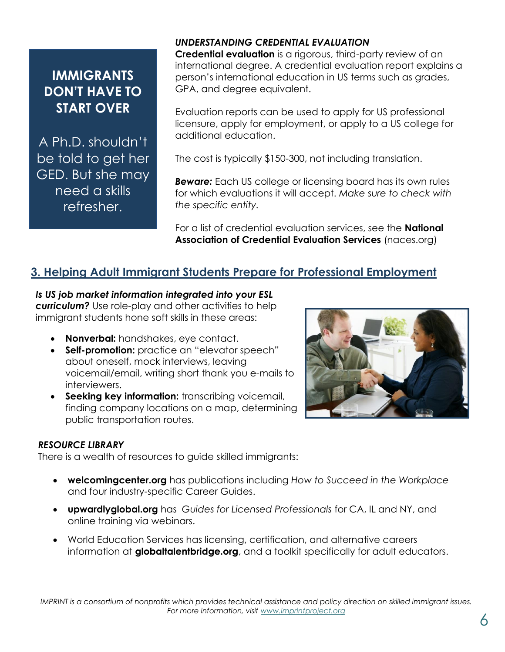# **IMMIGRANTS DON'T HAVE TO START OVER**

A Ph.D. shouldn't be told to get her GED. But she may need a skills refresher.

#### *UNDERSTANDING CREDENTIAL EVALUATION*

**Credential evaluation** is a rigorous, third-party review of an international degree. A credential evaluation report explains a person's international education in US terms such as grades, GPA, and degree equivalent.

Evaluation reports can be used to apply for US professional licensure, apply for employment, or apply to a US college for additional education.

The cost is typically \$150-300, not including translation.

*Beware:* Each US college or licensing board has its own rules for which evaluations it will accept. *Make sure to check with the specific entity.* 

For a list of credential evaluation services, see the **National Association of Credential Evaluation Services** (naces.org)

# **3. Helping Adult Immigrant Students Prepare for Professional Employment**

#### *Is US job market information integrated into your ESL*

*curriculum?* Use role-play and other activities to help immigrant students hone soft skills in these areas:

- **Nonverbal:** handshakes, eye contact.
- **Self-promotion:** practice an "elevator speech" about oneself, mock interviews, leaving voicemail/email, writing short thank you e-mails to interviewers.
- **Seeking key information:** transcribing voicemail, finding company locations on a map, determining public transportation routes.



There is a wealth of resources to guide skilled immigrants:

- **welcomingcenter.org** has publications including *How to Succeed in the Workplace* and four industry-specific Career Guides.
- **upwardlyglobal.org** has *Guides for Licensed Professionals* for CA, IL and NY, and online training via webinars.
- Caption describing picture or graphic. information at **globaltalentbridge.org**, and a toolkit specifically for adult educators. World Education Services has licensing, certification, and alternative careers



6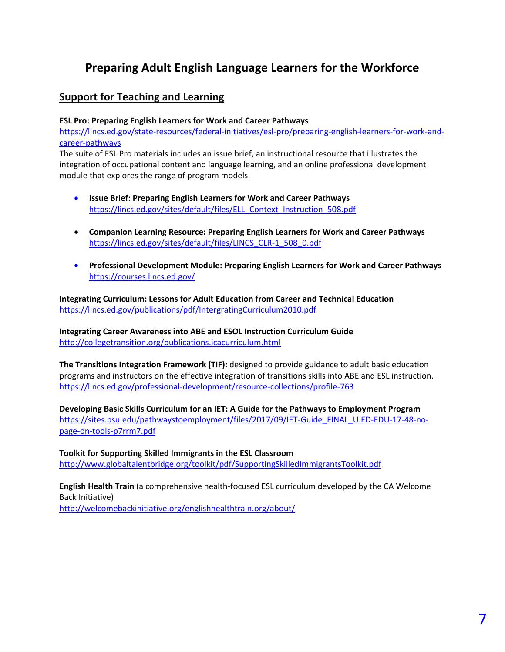# **Preparing Adult English Language Learners for the Workforce**

#### **Support for Teaching and Learning**

#### **ESL Pro: Preparing English Learners for Work and Career Pathways**

https://lincs.ed.gov/state-resources/federal-initiatives/esl-pro/preparing-english-learners-for-work-andcareer-pathways

The suite of ESL Pro materials includes an issue brief, an instructional resource that illustrates the integration of occupational content and language learning, and an online professional development module that explores the range of program models.

- **Issue Brief: Preparing English Learners for Work and Career Pathways** https://lincs.ed.gov/sites/default/files/ELL\_Context\_Instruction\_508.pdf
- **Companion Learning Resource: Preparing English Learners for Work and Career Pathways** https://lincs.ed.gov/sites/default/files/LINCS\_CLR-1\_508\_0.pdf
- **Professional Development Module: Preparing English Learners for Work and Career Pathways** https://courses.lincs.ed.gov/

**Integrating Curriculum: Lessons for Adult Education from Career and Technical Education** https://lincs.ed.gov/publications/pdf/IntergratingCurriculum2010.pdf

**Integrating Career Awareness into ABE and ESOL Instruction Curriculum Guide** http://collegetransition.org/publications.icacurriculum.html

**The Transitions Integration Framework (TIF):** designed to provide guidance to adult basic education programs and instructors on the effective integration of transitions skills into ABE and ESL instruction. https://lincs.ed.gov/professional-development/resource-collections/profile-763

**Developing Basic Skills Curriculum for an IET: A Guide for the Pathways to Employment Program** https://sites.psu.edu/pathwaystoemployment/files/2017/09/IET-Guide\_FINAL\_U.ED-EDU-17-48-nopage-on-tools-p7rrm7.pdf

**Toolkit for Supporting Skilled Immigrants in the ESL Classroom** http://www.globaltalentbridge.org/toolkit/pdf/SupportingSkilledImmigrantsToolkit.pdf

**English Health Train** (a comprehensive health-focused ESL curriculum developed by the CA Welcome Back Initiative)

http://welcomebackinitiative.org/englishhealthtrain.org/about/